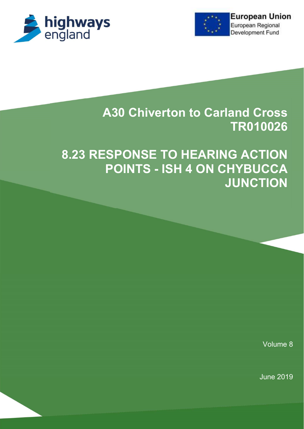



# A30 Chiverton to Carland Cross TR010026

# 8.23 RESPONSE TO HEARING ACTION POINTS - ISH 4 ON CHYBUCCA **JUNCTION**

Volume 8

June 2019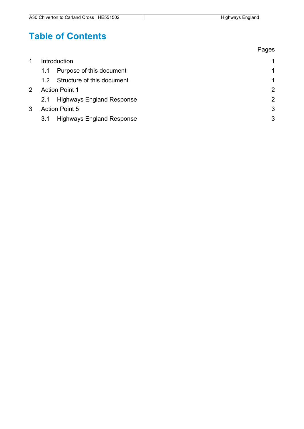# Table of Contents

|               |                                         | Pages                |
|---------------|-----------------------------------------|----------------------|
|               | Introduction                            | $\mathbf{1}$         |
|               | Purpose of this document<br>1.1         | 1                    |
|               | Structure of this document<br>12        | $\blacktriangleleft$ |
| $\mathcal{P}$ | <b>Action Point 1</b>                   | 2                    |
|               | <b>Highways England Response</b><br>2.1 | $\overline{2}$       |
| 3             | <b>Action Point 5</b>                   | 3                    |
|               | 3.1<br><b>Highways England Response</b> | 3                    |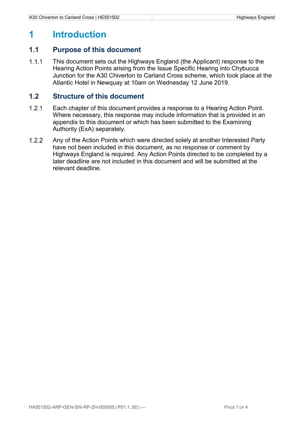### 1 Introduction

#### 1.1 Purpose of this document

1.1.1 This document sets out the Highways England (the Applicant) response to the Hearing Action Points arising from the Issue Specific Hearing into Chybucca Junction for the A30 Chiverton to Carland Cross scheme, which took place at the Atlantic Hotel in Newquay at 10am on Wednesday 12 June 2019.

#### 1.2 Structure of this document

- Each chapter of this document provides a response to a Hearing Action Point. Where necessary, this response may include information that is provided in an appendix to this document or which has been submitted to the Examining Authority (ExA) separately.
- Any of the Action Points which were directed solely at another Interested Party have not been included in this document, as no response or comment by Highways England is required. Any Action Points directed to be completed by a later deadline are not included in this document and will be submitted at the relevant deadline.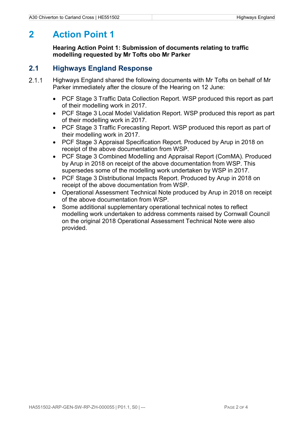## 2 Action Point 1

Hearing Action Point 1: Submission of documents relating to traffic modelling requested by Mr Tofts obo Mr Parker

#### 2.1 Highways England Response

- 2.1.1 Highways England shared the following documents with Mr Tofts on behalf of Mr Parker immediately after the closure of the Hearing on 12 June:
	- PCF Stage 3 Traffic Data Collection Report. WSP produced this report as part of their modelling work in 2017.
	- PCF Stage 3 Local Model Validation Report. WSP produced this report as part of their modelling work in 2017.
	- PCF Stage 3 Traffic Forecasting Report. WSP produced this report as part of their modelling work in 2017.
	- PCF Stage 3 Appraisal Specification Report. Produced by Arup in 2018 on receipt of the above documentation from WSP.
	- PCF Stage 3 Combined Modelling and Appraisal Report (ComMA). Produced by Arup in 2018 on receipt of the above documentation from WSP. This supersedes some of the modelling work undertaken by WSP in 2017.
	- PCF Stage 3 Distributional Impacts Report. Produced by Arup in 2018 on receipt of the above documentation from WSP.
	- Operational Assessment Technical Note produced by Arup in 2018 on receipt of the above documentation from WSP.
	- Some additional supplementary operational technical notes to reflect modelling work undertaken to address comments raised by Cornwall Council on the original 2018 Operational Assessment Technical Note were also provided.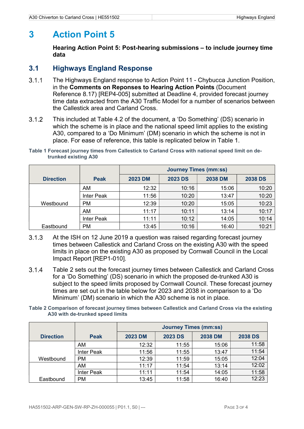## 3 Action Point 5

Hearing Action Point 5: Post-hearing submissions – to include journey time data

#### 3.1 Highways England Response

- The Highways England response to Action Point 11 Chybucca Junction Position, in the Comments on Reponses to Hearing Action Points (Document Reference 8.17) [REP4-005] submitted at Deadline 4, provided forecast journey time data extracted from the A30 Traffic Model for a number of scenarios between the Callestick area and Carland Cross.
- This included at Table 4.2 of the document, a 'Do Something' (DS) scenario in which the scheme is in place and the national speed limit applies to the existing A30, compared to a 'Do Minimum' (DM) scenario in which the scheme is not in place. For ease of reference, this table is replicated below in Table 1.

Table 1 Forecast journey times from Callestick to Carland Cross with national speed limit on detrunked existing A30

|                  |             | <b>Journey Times (mm:ss)</b> |                |                |                |
|------------------|-------------|------------------------------|----------------|----------------|----------------|
| <b>Direction</b> | <b>Peak</b> | <b>2023 DM</b>               | <b>2023 DS</b> | <b>2038 DM</b> | <b>2038 DS</b> |
|                  | AM          | 12:32                        | 10:16          | 15:06          | 10:20          |
|                  | Inter Peak  | 11:56                        | 10:20          | 13:47          | 10:20          |
| Westbound        | <b>PM</b>   | 12:39                        | 10:20          | 15:05          | 10:23          |
|                  | AM          | 11:17                        | 10:11          | 13:14          | 10:17          |
|                  | Inter Peak  | 11:11                        | 10:12          | 14:05          | 10:14          |
| Eastbound        | <b>PM</b>   | 13:45                        | 10:16          | 16:40          | 10:21          |

- At the ISH on 12 June 2019 a question was raised regarding forecast journey times between Callestick and Carland Cross on the existing A30 with the speed limits in place on the existing A30 as proposed by Cornwall Council in the Local Impact Report [REP1-010].
- Table 2 sets out the forecast journey times between Callestick and Carland Cross for a 'Do Something' (DS) scenario in which the proposed de-trunked A30 is subject to the speed limits proposed by Cornwall Council. These forecast journey times are set out in the table below for 2023 and 2038 in comparison to a 'Do Minimum' (DM) scenario in which the A30 scheme is not in place.
- Table 2 Comparison of forecast journey times between Callestick and Carland Cross via the existing A30 with de-trunked speed limits

|                  |             | <b>Journey Times (mm:ss)</b> |                |                |                |
|------------------|-------------|------------------------------|----------------|----------------|----------------|
| <b>Direction</b> | <b>Peak</b> | <b>2023 DM</b>               | <b>2023 DS</b> | <b>2038 DM</b> | <b>2038 DS</b> |
|                  | <b>AM</b>   | 12:32                        | 11:55          | 15:06          | 11:58          |
|                  | Inter Peak  | 11:56                        | 11:55          | 13:47          | 11:54          |
| Westbound        | <b>PM</b>   | 12:39                        | 11:59          | 15:05          | 12:04          |
|                  | <b>AM</b>   | 11:17                        | 11:54          | 13:14          | 12:02          |
|                  | Inter Peak  | 11:11                        | 11:54          | 14:05          | 11:58          |
| Eastbound        | <b>PM</b>   | 13:45                        | 11:58          | 16:40          | 12:23          |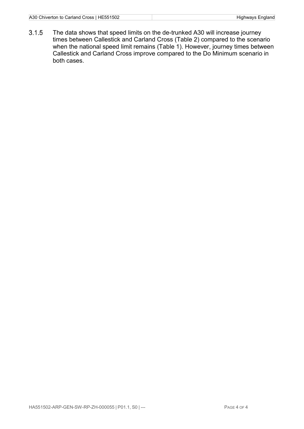The data shows that speed limits on the de-trunked A30 will increase journey times between Callestick and Carland Cross (Table 2) compared to the scenario when the national speed limit remains (Table 1). However, journey times between Callestick and Carland Cross improve compared to the Do Minimum scenario in both cases.